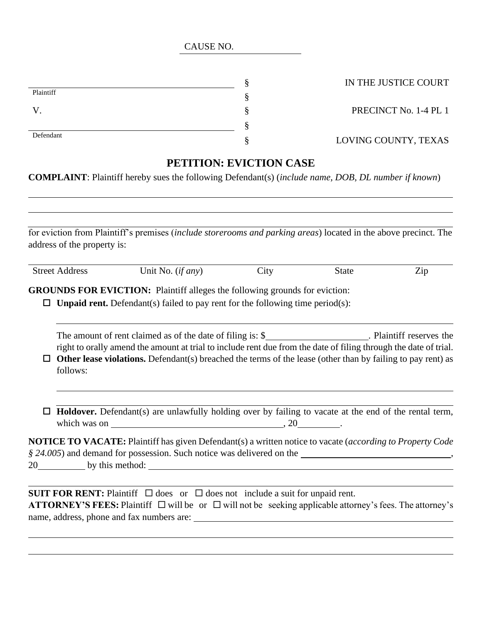|                          | ດ<br>$\bf{v}$   |
|--------------------------|-----------------|
| Plaintiff                | ດ               |
| $\overline{\phantom{a}}$ | റ<br>$\epsilon$ |
|                          | ດ               |
| Defendant                | ດ               |

S PRECINCT No. 1-4 PL 1

## § LOVING COUNTY, TEXAS

## **PETITION: EVICTION CASE**

**COMPLAINT**: Plaintiff hereby sues the following Defendant(s) (*include name, DOB, DL number if known*)

|   | address of the property is: | for eviction from Plaintiff's premises (include storerooms and parking areas) located in the above precinct. The                                                                                                                |      |              |     |
|---|-----------------------------|---------------------------------------------------------------------------------------------------------------------------------------------------------------------------------------------------------------------------------|------|--------------|-----|
|   | <b>Street Address</b>       | Unit No. $(if any)$                                                                                                                                                                                                             | City | <b>State</b> | Zip |
|   |                             | <b>GROUNDS FOR EVICTION:</b> Plaintiff alleges the following grounds for eviction:<br><b>Unpaid rent.</b> Defendant(s) failed to pay rent for the following time period(s):                                                     |      |              |     |
|   |                             | The amount of rent claimed as of the date of filing is: \$____________________. Plaintiff reserves the                                                                                                                          |      |              |     |
| □ | follows:                    | right to orally amend the amount at trial to include rent due from the date of filing through the date of trial.<br>Other lease violations. Defendant(s) breached the terms of the lease (other than by failing to pay rent) as |      |              |     |
| □ |                             | Holdover. Defendant(s) are unlawfully holding over by failing to vacate at the end of the rental term,<br>which was on $\qquad \qquad .20$                                                                                      |      |              |     |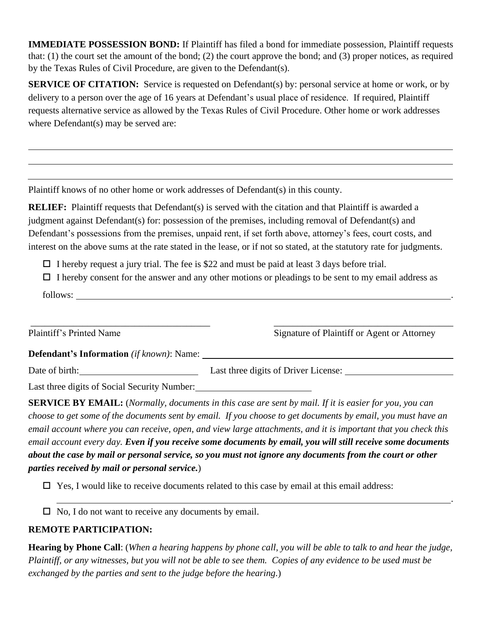**IMMEDIATE POSSESSION BOND:** If Plaintiff has filed a bond for immediate possession, Plaintiff requests that: (1) the court set the amount of the bond; (2) the court approve the bond; and (3) proper notices, as required by the Texas Rules of Civil Procedure, are given to the Defendant(s).

**SERVICE OF CITATION:** Service is requested on Defendant(s) by: personal service at home or work, or by delivery to a person over the age of 16 years at Defendant's usual place of residence. If required, Plaintiff requests alternative service as allowed by the Texas Rules of Civil Procedure. Other home or work addresses where Defendant(s) may be served are:

Plaintiff knows of no other home or work addresses of Defendant(s) in this county.

**RELIEF:** Plaintiff requests that Defendant(s) is served with the citation and that Plaintiff is awarded a judgment against Defendant(s) for: possession of the premises, including removal of Defendant(s) and Defendant's possessions from the premises, unpaid rent, if set forth above, attorney's fees, court costs, and interest on the above sums at the rate stated in the lease, or if not so stated, at the statutory rate for judgments.

 $\Box$  I hereby request a jury trial. The fee is \$22 and must be paid at least 3 days before trial.

 $\Box$  I hereby consent for the answer and any other motions or pleadings to be sent to my email address as

follows:

\_\_\_\_\_\_\_\_\_\_\_\_\_\_\_\_\_\_\_\_\_\_\_\_\_\_\_\_\_\_\_\_\_\_\_\_\_\_ \_\_\_\_\_\_\_\_\_\_\_\_\_\_\_\_\_\_\_\_\_\_\_\_\_\_\_\_\_\_\_\_\_\_\_\_\_\_ Plaintiff's Printed Name Signature of Plaintiff or Agent or Attorney

.

**Defendant's Information** *(if known)*: Name:

Date of birth: Last three digits of Driver License: Last three digits of Driver License:

Last three digits of Social Security Number:

**SERVICE BY EMAIL:** (*Normally, documents in this case are sent by mail. If it is easier for you, you can choose to get some of the documents sent by email. If you choose to get documents by email, you must have an email account where you can receive, open, and view large attachments, and it is important that you check this email account every day. Even if you receive some documents by email, you will still receive some documents about the case by mail or personal service, so you must not ignore any documents from the court or other parties received by mail or personal service.*)

 $\Box$  Yes, I would like to receive documents related to this case by email at this email address:

 $\Box$  No, I do not want to receive any documents by email.

## **REMOTE PARTICIPATION:**

**Hearing by Phone Call**: (*When a hearing happens by phone call, you will be able to talk to and hear the judge, Plaintiff, or any witnesses, but you will not be able to see them. Copies of any evidence to be used must be exchanged by the parties and sent to the judge before the hearing.*)